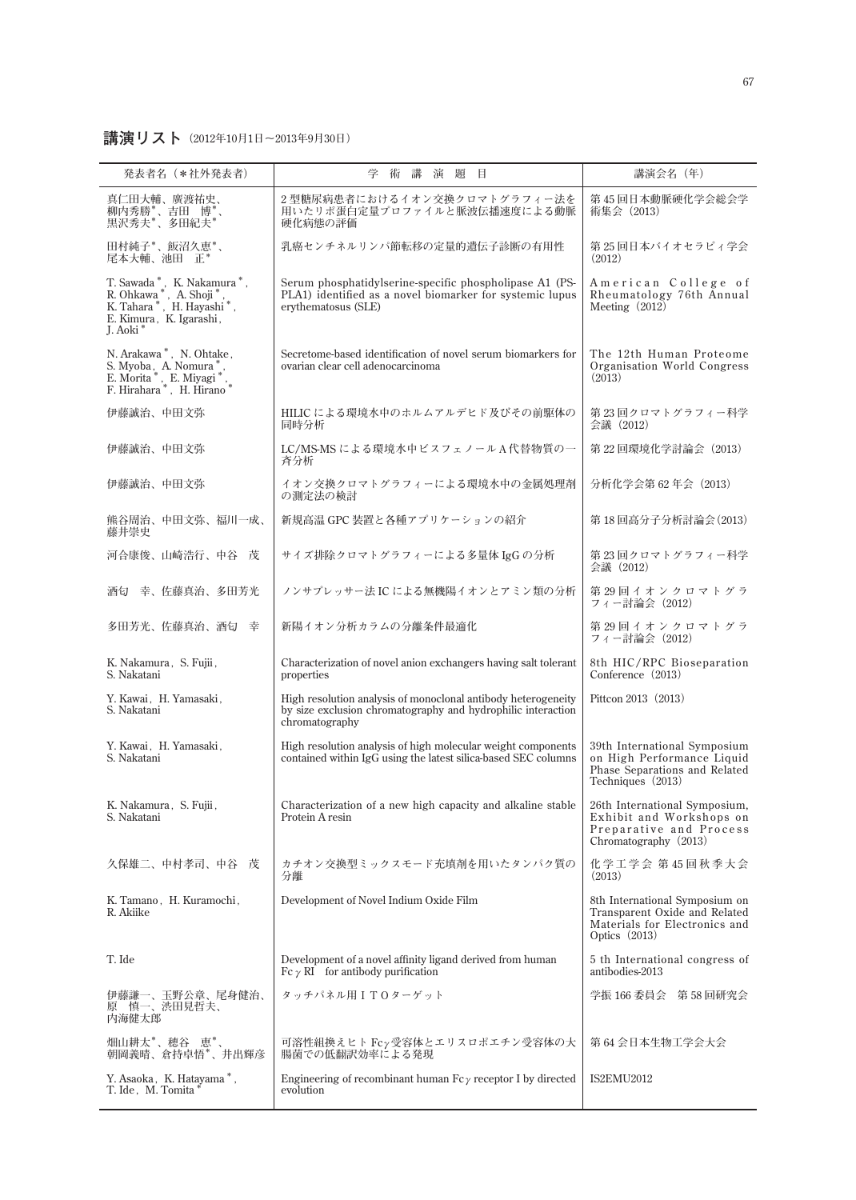## **講演リスト(2012年10月1日〜2013年9月30日)**

| 発表者名 (*社外発表者)                                                                                                                                                                                                          | 学<br>術<br>講<br>演題目                                                                                                                              | 講演会名 (年)                                                                                                            |
|------------------------------------------------------------------------------------------------------------------------------------------------------------------------------------------------------------------------|-------------------------------------------------------------------------------------------------------------------------------------------------|---------------------------------------------------------------------------------------------------------------------|
| 真仁田大輔、廣渡祐史、<br>柳内秀勝*、吉田 博*、<br>黒沢秀夫*、多田紀夫*                                                                                                                                                                             | 2型糖尿病患者におけるイオン交換クロマトグラフィー法を<br>用いたリポ蛋白定量プロファイルと脈波伝播速度による動脈<br>硬化病態の評価                                                                           | 第45回日本動脈硬化学会総会学<br>術集会 (2013)                                                                                       |
| 田村純子*、飯沼久恵*、<br>尾本大輔、池田 正*                                                                                                                                                                                             | 乳癌センチネルリンパ節転移の定量的遺伝子診断の有用性                                                                                                                      | 第 25 回日本バイオセラピィ学会<br>(2012)                                                                                         |
| $\begin{array}{ll} \text{T. Sawada}^*, & \text{K. Nakamura}^*,\\ \text{R. Ohkawa}^*, & \text{A. Shoji}^*,\\ \text{K. Tahara}^*, & \text{H. Hayashi}^*, \end{array}$<br>E. Kimura, K. Igarashi,<br>L. Aoki <sup>*</sup> | Serum phosphatidylserine-specific phospholipase A1 (PS-<br>PLA1) identified as a novel biomarker for systemic lupus<br>erythematosus (SLE)      | American College of<br>Rheumatology 76th Annual<br>Meeting $(2012)$                                                 |
| N. Arakawa*, N. Ohtake,<br>S. Myoba, A. Nomura*,<br>E. Morita *, E. Miyagi *, F. Hirahara *, H. Hirano *                                                                                                               | Secretome-based identification of novel serum biomarkers for<br>ovarian clear cell adenocarcinoma                                               | The 12th Human Proteome<br>Organisation World Congress<br>(2013)                                                    |
| 伊藤誠治、中田文弥                                                                                                                                                                                                              | HILIC による環境水中のホルムアルデヒド及びその前駆体の<br>同時分析                                                                                                          | 第23回クロマトグラフィー科学<br>会議 (2012)                                                                                        |
| 伊藤誠治、中田文弥                                                                                                                                                                                                              | LC/MS-MS による環境水中ビスフェノールA代替物質の一<br>斉分析                                                                                                           | 第22回環境化学討論会 (2013)                                                                                                  |
| 伊藤誠治、中田文弥                                                                                                                                                                                                              | イオン交換クロマトグラフィーによる環境水中の金属処理剤<br>の測定法の検討                                                                                                          | 分析化学会第62年会 (2013)                                                                                                   |
| 熊谷周治、中田文弥、福川一成、<br>藤井崇史                                                                                                                                                                                                | 新規高温 GPC 装置と各種アプリケーションの紹介                                                                                                                       | 第18回高分子分析討論会(2013)                                                                                                  |
| 河合康俊、山崎浩行、中谷 茂                                                                                                                                                                                                         | サイズ排除クロマトグラフィーによる多量体 IgG の分析                                                                                                                    | 第23回クロマトグラフィー科学<br>会議 (2012)                                                                                        |
| 酒匂 幸、佐藤真治、多田芳光                                                                                                                                                                                                         | ノンサプレッサー法 IC による無機陽イオンとアミン類の分析                                                                                                                  | 第29回イオンクロマトグラ<br>フィー討論会 (2012)                                                                                      |
| 多田芳光、佐藤真治、酒匂 幸                                                                                                                                                                                                         | 新陽イオン分析カラムの分離条件最適化                                                                                                                              | 第29回イオンクロマトグラ<br>フィー討論会 (2012)                                                                                      |
| K. Nakamura, S. Fujii,<br>S. Nakatani                                                                                                                                                                                  | Characterization of novel anion exchangers having salt tolerant<br>properties                                                                   | 8th HIC/RPC Bioseparation<br>Conference (2013)                                                                      |
| Y. Kawai, H. Yamasaki,<br>S. Nakatani                                                                                                                                                                                  | High resolution analysis of monoclonal antibody heterogeneity<br>by size exclusion chromatography and hydrophilic interaction<br>chromatography | Pittcon 2013 (2013)                                                                                                 |
| Y. Kawai, H. Yamasaki,<br>S. Nakatani                                                                                                                                                                                  | High resolution analysis of high molecular weight components<br>contained within IgG using the latest silica-based SEC columns                  | 39th International Symposium<br>on High Performance Liquid<br>Phase Separations and Related<br>Techniques (2013)    |
| K. Nakamura, S. Fujii,<br>S. Nakatani                                                                                                                                                                                  | Characterization of a new high capacity and alkaline stable<br>Protein A resin                                                                  | 26th International Symposium,<br>Exhibit and Workshops on<br>Preparative and Process<br>Chromatography (2013)       |
| 久保雄二、中村孝司、中谷 茂                                                                                                                                                                                                         | カチオン交換型ミックスモード充填剤を用いたタンパク質の<br>分離                                                                                                               | 化学工学会 第45回秋季大会<br>(2013)                                                                                            |
| K. Tamano, H. Kuramochi,<br>R. Akiike                                                                                                                                                                                  | Development of Novel Indium Oxide Film                                                                                                          | 8th International Symposium on<br>Transparent Oxide and Related<br>Materials for Electronics and<br>Optics $(2013)$ |
| T. Ide                                                                                                                                                                                                                 | Development of a novel affinity ligand derived from human<br>$Fc \gamma RI$ for antibody purification                                           | 5 th International congress of<br>antibodies-2013                                                                   |
| 伊藤謙一、玉野公章、尾身健治、<br>原 慎一、渋田見哲夫、<br>内海健太郎                                                                                                                                                                                | タッチパネル用ITOターゲット                                                                                                                                 | 学振 166 委員会 第 58 回研究会                                                                                                |
| 畑山耕太*、穂谷 恵*、<br>朝岡義晴、倉持卓悟*、井出輝彦                                                                                                                                                                                        | 可溶性組換えヒトFcy受容体とエリスロポエチン受容体の大<br>腸菌での低翻訳効率による発現                                                                                                  | 第 64 会日本生物工学会大会                                                                                                     |
| Y. Asaoka, K. Hatayama*,<br>T. Ide, M. Tomita                                                                                                                                                                          | Engineering of recombinant human $Fc\gamma$ receptor I by directed<br>evolution                                                                 | IS2EMU2012                                                                                                          |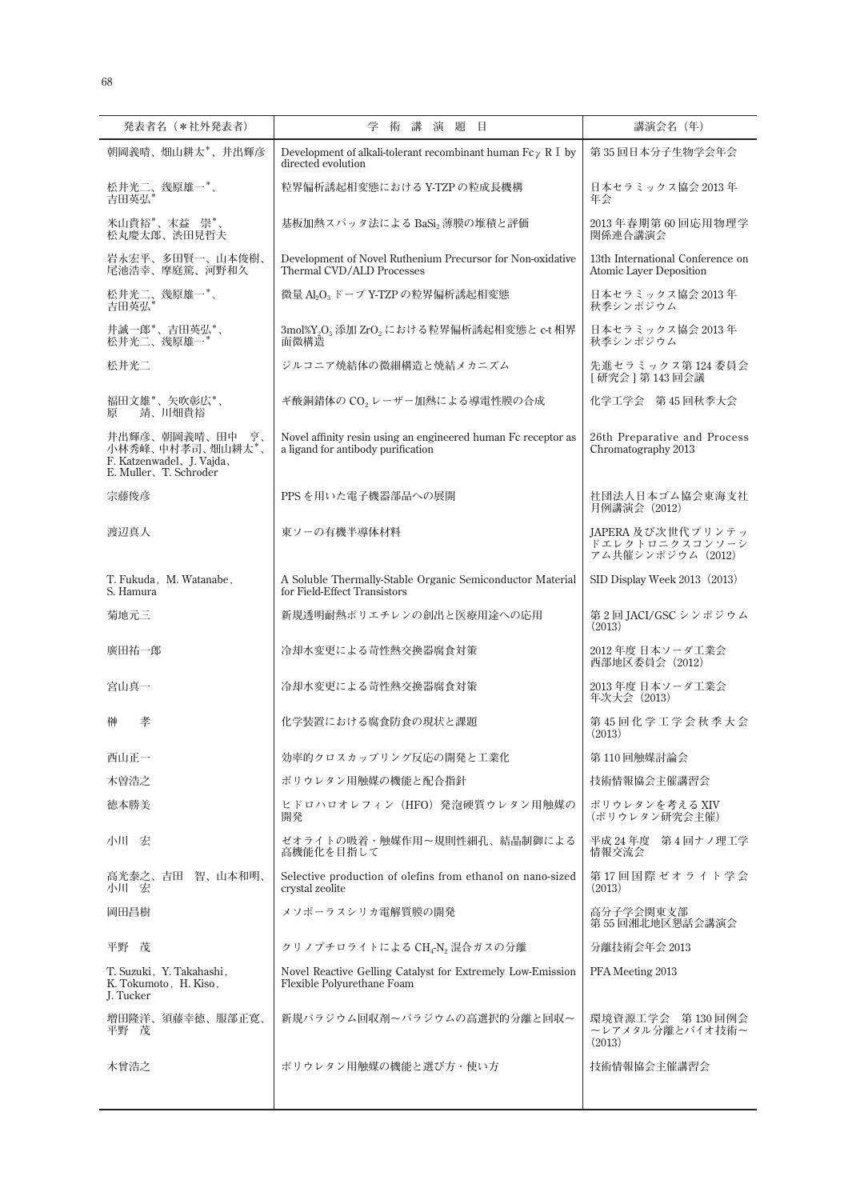| 発表者名 (*社外発表者)                                                                                 | 学 術<br>講<br>演題<br>目                                                                                    | 講演会名 (年)                                                           |
|-----------------------------------------------------------------------------------------------|--------------------------------------------------------------------------------------------------------|--------------------------------------------------------------------|
| 朝岡義晴、畑山耕太*、井出輝彦                                                                               | Development of alkali-tolerant recombinant human Fc $\gamma \,$ R $\;$ l $\;$ by<br>directed evolution | 第35回日本分子生物学会年会                                                     |
| 松井光二、幾原雄一*、<br>吉田英弘                                                                           | 粒界偏析誘起相変態における Y-TZP の粒成長機構                                                                             | 日本セラミックス協会 2013年<br>年会                                             |
| 米山貴裕*、末益 崇*、<br>松丸慶太郎、渋田見哲夫                                                                   | 基板加熱スパッタ法による BaSi2 薄膜の堆積と評価                                                                            | 2013年春期第60回応用物理学<br>関係連合講演会                                        |
| 岩永宏平、多田賢一、山本俊樹、<br>尾池浩幸、摩庭篤、河野和久                                                              | Development of Novel Ruthenium Precursor for Non-oxidative<br>Thermal CVD/ALD Processes                | 13th International Conference on<br><b>Atomic Layer Deposition</b> |
| 松井光二、幾原雄一*、<br>吉田英弘*                                                                          | 微量 Al2O3 ドープ Y-TZP の粒界偏析誘起相変態                                                                          | 日本セラミックス協会 2013年<br>秋季シンポジウム                                       |
| 井誠一郎*、吉田英弘*、<br>松井光二、幾原雄一*                                                                    | 3mol%Y2O3 添加 ZrO2 における粒界偏析誘起相変態と c-t 相界<br>面微構造                                                        | 日本セラミックス協会 2013年<br>秋季シンポジウム                                       |
| 松井光二                                                                                          | ジルコニア焼結体の微細構造と焼結メカニズム                                                                                  | 先進セラミックス第 124 委員会<br> 研究会   第 143 回会議                              |
| 福田文雄*、矢吹彰広*、<br>靖、川畑貴裕<br>原                                                                   | ギ酸銅錯体のCO <sub>2</sub> レーザー加熱による導電性膜の合成                                                                 | 化学工学会 第45回秋季大会                                                     |
| 井出輝彦、朝岡義晴、田中<br>亨、<br>小林秀峰、中村孝司、畑山耕太*、<br>F. Katzenwadel, J. Vajda,<br>E. Muller, T. Schroder | Novel affinity resin using an engineered human Fc receptor as<br>a ligand for antibody purification    | 26th Preparative and Process<br>Chromatography 2013                |
| 宗藤俊彦                                                                                          | PPS を用いた電子機器部品への展開                                                                                     | 社団法人日本ゴム協会東海支社<br>月例講演会 (2012)                                     |
| 渡辺真人                                                                                          | 東ソーの有機半導体材料                                                                                            | JAPERA 及び次世代プリンテッ<br>ドエレクトロニクスコンソーシ<br>アム共催シンポジウム (2012)           |
| T. Fukuda, M. Watanabe,<br>S. Hamura                                                          | A Soluble Thermally-Stable Organic Semiconductor Material<br>for Field-Effect Transistors              | SID Display Week 2013 (2013)                                       |
| 菊地元三                                                                                          | 新規透明耐熱ポリエチレンの創出と医療用途への応用                                                                               | 第2回 JACI/GSC シンポジウム<br>(2013)                                      |
| 廣田祐一郎                                                                                         | 冷却水変更による苛性熱交換器腐食対策                                                                                     | 2012 年度 日本ソーダ工業会<br>西部地区委員会 (2012)                                 |
| 宮山真一                                                                                          | 冷却水変更による苛性熱交換器腐食対策                                                                                     | 2013年度 日本ソーダ工業会<br>年次大会 (2013)                                     |
| 孝<br>榊                                                                                        | 化学装置における腐食防食の現状と課題                                                                                     | 第45回化学工学会秋季大会<br>(2013)                                            |
| 西山正一                                                                                          | 効率的クロスカップリング反応の開発と工業化                                                                                  | 第 110 回触媒討論会                                                       |
| 木曽浩之                                                                                          | ポリウレタン用触媒の機能と配合指針                                                                                      | 技術情報協会主催講習会                                                        |
| 徳本勝美                                                                                          | ヒドロハロオレフィン (HFO) 発泡硬質ウレタン用触媒の<br>開発                                                                    | ポリウレタンを考える XIV<br>(ポリウレタン研究会主催)                                    |
| 小川 宏                                                                                          | ゼオライトの吸着・触媒作用~規則性細孔、結晶制御による<br>高機能化を目指して                                                               | 平成 24年度 第4回ナノ理工学<br>情報交流会                                          |
| 高光泰之、吉田 智、山本和明、<br>小川 宏                                                                       | Selective production of olefins from ethanol on nano-sized<br>crystal zeolite                          | 第17回国際ゼオライト学会<br>(2013)                                            |
| 岡田昌樹                                                                                          | メソポーラスシリカ電解質膜の開発                                                                                       | 高分子学会関東支部<br>第55回湘北地区懇話会講演会                                        |
| 平野 茂                                                                                          | クリノプチロライトによる CH4-N2 混合ガスの分離                                                                            | 分離技術会年会 2013                                                       |
| T. Suzuki, Y. Takahashi,<br>K. Tokumoto, H. Kiso,<br>J. Tucker                                | Novel Reactive Gelling Catalyst for Extremely Low-Emission<br>Flexible Polyurethane Foam               | PFA Meeting 2013                                                   |
| 増田隆洋、須藤幸徳、服部正寛、<br>平野 茂                                                                       | 新規パラジウム回収剤~パラジウムの高選択的分離と回収~                                                                            | 環境資源工学会 第130回例会<br>ーレアメタル分離とバイオ技術~<br>(2013)                       |
| 木曾浩之                                                                                          | ポリウレタン用触媒の機能と選び方・使い方                                                                                   | 技術情報協会主催講習会                                                        |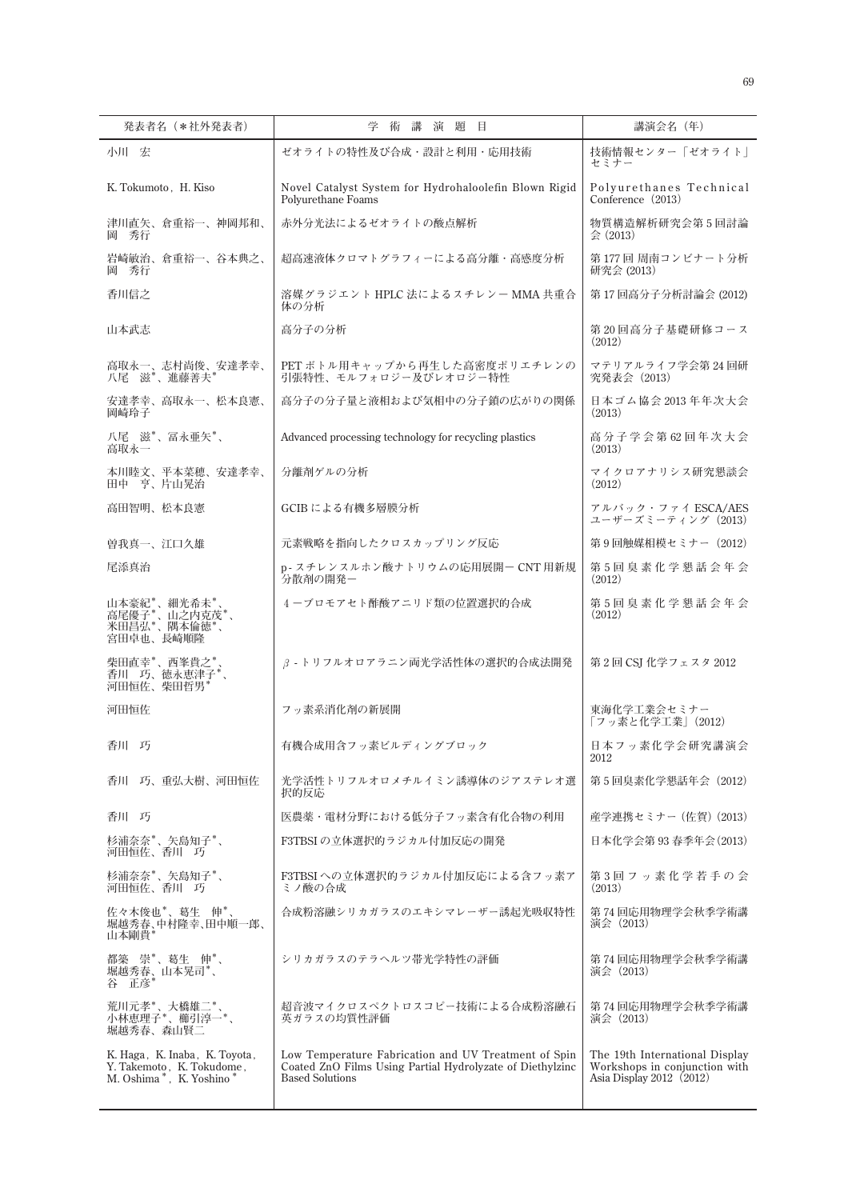| 発表者名(*社外発表者)                                                                          | 学<br>術<br>講<br>演題<br>目                                                                                                                      | 講演会名(年)                                                                                     |
|---------------------------------------------------------------------------------------|---------------------------------------------------------------------------------------------------------------------------------------------|---------------------------------------------------------------------------------------------|
| 小川 宏                                                                                  | ゼオライトの特性及び合成・設計と利用・応用技術                                                                                                                     | 技術情報センター「ゼオライト」<br>セミナー                                                                     |
| K. Tokumoto, H. Kiso                                                                  | Novel Catalyst System for Hydrohaloolefin Blown Rigid<br>Polyurethane Foams                                                                 | Polyurethanes Technical<br>Conference (2013)                                                |
| 津川直矢、倉重裕一、神岡邦和、<br>岡 秀行                                                               | 赤外分光法によるゼオライトの酸点解析                                                                                                                          | 物質構造解析研究会第5回討論<br>$\Leftrightarrow$ (2013)                                                  |
| 岩崎敏治、倉重裕一、谷本典之、<br>岡 秀行                                                               | 超高速液体クロマトグラフィーによる高分離・高感度分析                                                                                                                  | 第177回 周南コンビナート分析<br>研究会 (2013)                                                              |
| 香川信之                                                                                  | 溶媒グラジエント HPLC 法によるスチレンー MMA 共重合<br>体の分析                                                                                                     | 第17回高分子分析討論会 (2012)                                                                         |
| 山本武志                                                                                  | 高分子の分析                                                                                                                                      | 第20回高分子基礎研修コース<br>(2012)                                                                    |
| 高取永一、志村尚俊、安達孝幸、<br>八尾 滋*、進藤善夫*                                                        | PETボトル用キャップから再生した高密度ポリエチレンの<br>引張特性、モルフォロジー及びレオロジー特性                                                                                        | マテリアルライフ学会第24回研<br>究発表会 (2013)                                                              |
| 安達孝幸、高取永一、松本良憲、<br>岡崎玲子                                                               | 高分子の分子量と液相および気相中の分子鎖の広がりの関係                                                                                                                 | 日本ゴム協会 2013年年次大会<br>(2013)                                                                  |
| 八尾 滋*、冨永亜矢*、<br>高取永一                                                                  | Advanced processing technology for recycling plastics                                                                                       | 高分子学会第62回年次大会<br>(2013)                                                                     |
| 本川睦文、平本菜穂、安達孝幸、<br>田中 亨、片山晃治                                                          | 分離剤ゲルの分析                                                                                                                                    | マイクロアナリシス研究懇談会<br>(2012)                                                                    |
| 高田智明、松本良憲                                                                             | GCIB による有機多層膜分析                                                                                                                             | アルバック・ファイ ESCA/AES<br>ユーザーズミーティング(2013)                                                     |
| 曽我真一、江口久雄                                                                             | 元素戦略を指向したクロスカップリング反応                                                                                                                        | 第9回触媒相模セミナー(2012)                                                                           |
| 尾添真治                                                                                  | p-スチレンスルホン酸ナトリウムの応用展開- CNT 用新規<br>分散剤の開発ー                                                                                                   | 第5回臭素化学懇話会年会<br>(2012)                                                                      |
| 山本豪紀*、細光希未*<br>言尾優子*、山之内克茂*、<br>米田昌弘*、隅本倫徳*、<br>宮田卓也、長崎順隆                             | 4-ブロモアセト酢酸アニリド類の位置選択的合成                                                                                                                     | 第5回臭素化学懇話会年会<br>(2012)                                                                      |
| 柴田直幸*、西峯貴之*<br>香川 巧、徳永恵津子*、<br>河田恒佐、柴田哲男*                                             | β-トリフルオロアラニン両光学活性体の選択的合成法開発                                                                                                                 | 第2回 CSI 化学フェスタ 2012                                                                         |
| 河田恒佐                                                                                  | フッ素系消化剤の新展開                                                                                                                                 | 東海化学工業会セミナー<br>「フッ素と化学工業」(2012)                                                             |
| 香川 巧                                                                                  | 有機合成用含フッ素ビルディングブロック                                                                                                                         | 日本フッ素化学会研究講演会<br>2012                                                                       |
| 香川 巧、重弘大樹、河田恒佐                                                                        | 光学活性トリフルオロメチルイミン誘導体のジアステレオ選<br>択的反応                                                                                                         | 第5回臭素化学懇話年会 (2012)                                                                          |
| 香川 巧                                                                                  | 医農薬・電材分野における低分子フッ素含有化合物の利用                                                                                                                  | 産学連携セミナー (佐賀) (2013)                                                                        |
| 杉浦奈奈*、矢島知子*、<br>河田恒佐、香川 巧                                                             | F3TBSI の立体選択的ラジカル付加反応の開発                                                                                                                    | 日本化学会第 93 春季年会(2013)                                                                        |
| 杉浦奈奈*、矢島知子*、<br>河田恒佐、香川 巧                                                             | F3TBSIへの立体選択的ラジカル付加反応による含フッ素ア<br>ミノ酸の合成                                                                                                     | 第3回フッ素化学若手の会<br>(2013)                                                                      |
| 佐々木俊也*、葛生 伸*、<br>堀越秀春、中村隆幸、田中順一郎、<br>山本剛貴*                                            | 合成粉溶融シリカガラスのエキシマレーザー誘起光吸収特性                                                                                                                 | 第 74 回応用物理学会秋季学術講<br>演会 (2013)                                                              |
| 都築 崇*、葛生 伸*、<br>堀越秀春、山本晃司*、<br>谷 正彦*                                                  | シリカガラスのテラヘルツ帯光学特性の評価                                                                                                                        | 第 74 回応用物理学会秋季学術講<br>演会 (2013)                                                              |
| 荒川元孝*、大橋雄二*、<br>小林恵理子*、櫛引淳一*<br>堀越秀春、森山賢二                                             | 超音波マイクロスペクトロスコピー技術による合成粉溶融石<br>英ガラスの均質性評価                                                                                                   | 第 74 回応用物理学会秋季学術講<br>演会 (2013)                                                              |
| K. Haga, K. Inaba, K. Toyota,<br>Y. Takemoto, K. Tokudome,<br>M. Oshima*, K. Yoshino* | Low Temperature Fabrication and UV Treatment of Spin<br>Coated ZnO Films Using Partial Hydrolyzate of Diethylzinc<br><b>Based Solutions</b> | The 19th International Display<br>Workshops in conjunction with<br>Asia Display 2012 (2012) |
|                                                                                       |                                                                                                                                             |                                                                                             |